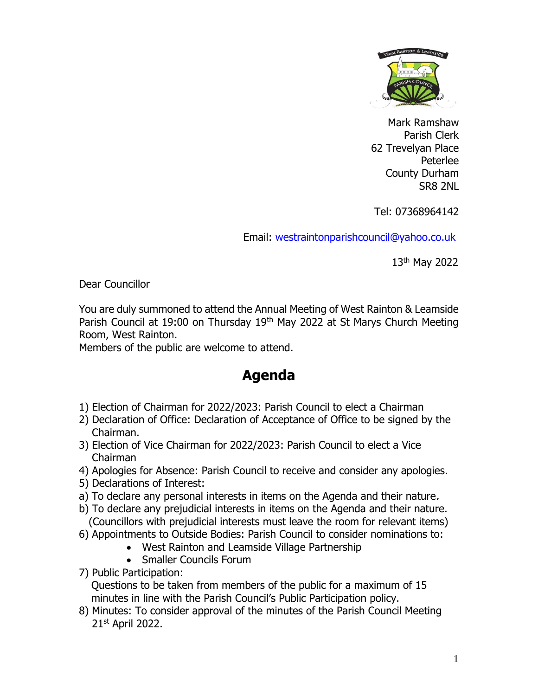

Mark Ramshaw Parish Clerk 62 Trevelyan Place Peterlee County Durham SR8 2NL

Tel: 07368964142

Email: [westraintonparishcouncil@yahoo.co.uk](mailto:westraintonparishcouncil@yahoo.co.uk) 

13th May 2022

Dear Councillor

You are duly summoned to attend the Annual Meeting of West Rainton & Leamside Parish Council at 19:00 on Thursday 19<sup>th</sup> May 2022 at St Marys Church Meeting Room, West Rainton.

Members of the public are welcome to attend.

## **Agenda**

- 1) Election of Chairman for 2022/2023: Parish Council to elect a Chairman
- 2) Declaration of Office: Declaration of Acceptance of Office to be signed by the Chairman.
- 3) Election of Vice Chairman for 2022/2023: Parish Council to elect a Vice Chairman
- 4) Apologies for Absence: Parish Council to receive and consider any apologies.
- 5) Declarations of Interest:
- a) To declare any personal interests in items on the Agenda and their nature.
- b) To declare any prejudicial interests in items on the Agenda and their nature. (Councillors with prejudicial interests must leave the room for relevant items)
- 6) Appointments to Outside Bodies: Parish Council to consider nominations to:
	- West Rainton and Leamside Village Partnership
	- Smaller Councils Forum
- 7) Public Participation:

Questions to be taken from members of the public for a maximum of 15 minutes in line with the Parish Council's Public Participation policy.

8) Minutes: To consider approval of the minutes of the Parish Council Meeting 21st April 2022.